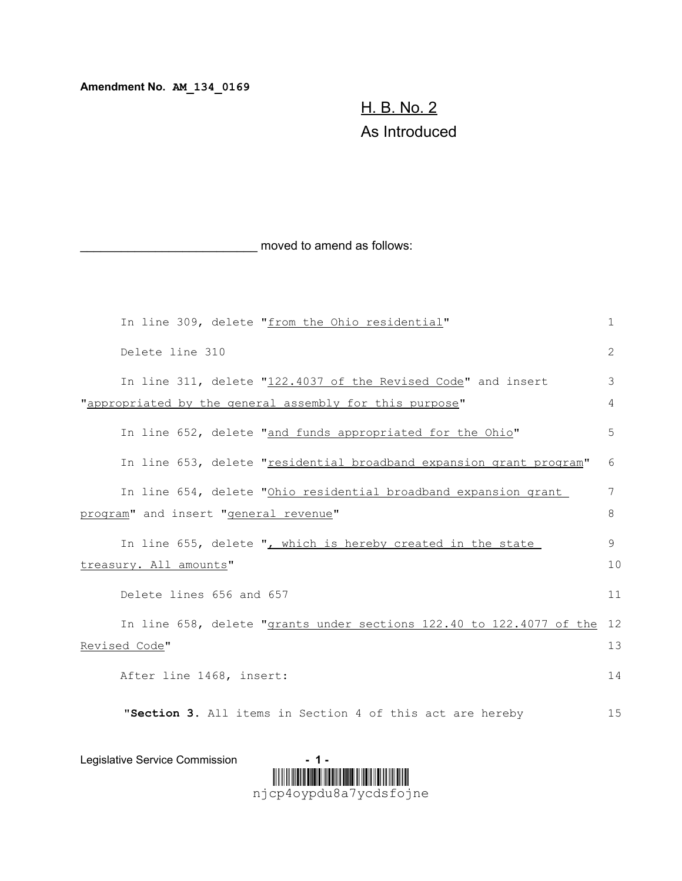**Amendment No. AM\_134\_0169**

## H. B. No. 2 As Introduced

moved to amend as follows:

|                                                         |                          |                          | In line 309, delete "from the Ohio residential"                      | $\mathbf 1$ |  |  |  |  |
|---------------------------------------------------------|--------------------------|--------------------------|----------------------------------------------------------------------|-------------|--|--|--|--|
|                                                         | Delete line 310          |                          |                                                                      | 2           |  |  |  |  |
|                                                         |                          |                          | In line 311, delete "122.4037 of the Revised Code" and insert        | 3           |  |  |  |  |
| "appropriated by the general assembly for this purpose" |                          |                          |                                                                      |             |  |  |  |  |
|                                                         |                          |                          | In line 652, delete "and funds appropriated for the Ohio"            | 5           |  |  |  |  |
|                                                         |                          |                          | In line 653, delete "residential broadband expansion grant program"  | 6           |  |  |  |  |
|                                                         |                          |                          | In line 654, delete "Ohio residential broadband expansion grant      | 7           |  |  |  |  |
|                                                         |                          |                          | program" and insert "general revenue"                                | 8           |  |  |  |  |
|                                                         |                          |                          |                                                                      |             |  |  |  |  |
|                                                         |                          |                          | In line 655, delete ", which is hereby created in the state          | 9           |  |  |  |  |
| treasury. All amounts"                                  |                          |                          |                                                                      |             |  |  |  |  |
|                                                         |                          | Delete lines 656 and 657 |                                                                      | 11          |  |  |  |  |
|                                                         |                          |                          | In line 658, delete "grants under sections 122.40 to 122.4077 of the | 12          |  |  |  |  |
|                                                         | Revised Code"            |                          |                                                                      | 13          |  |  |  |  |
|                                                         | After line 1468, insert: |                          |                                                                      |             |  |  |  |  |
|                                                         |                          |                          | "Section 3. All items in Section 4 of this act are hereby            | 15          |  |  |  |  |



Legislative Service Commission **- 1 -**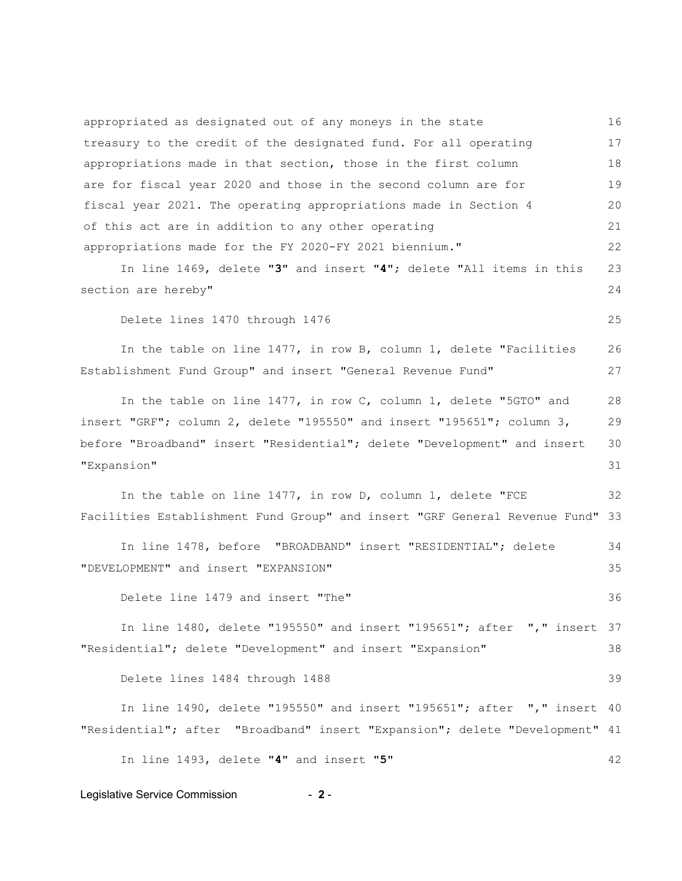appropriated as designated out of any moneys in the state treasury to the credit of the designated fund. For all operating appropriations made in that section, those in the first column are for fiscal year 2020 and those in the second column are for fiscal year 2021. The operating appropriations made in Section 4 of this act are in addition to any other operating appropriations made for the FY 2020-FY 2021 biennium." 16 17 18 19  $20$ 21 22

In line 1469, delete "**3**" and insert "**4**"; delete "All items in this section are hereby" 23 24

Delete lines 1470 through 1476

In the table on line 1477, in row B, column 1, delete "Facilities Establishment Fund Group" and insert "General Revenue Fund" 26 27

In the table on line 1477, in row C, column 1, delete "5GTO" and insert "GRF"; column 2, delete "195550" and insert "195651"; column 3, before "Broadband" insert "Residential"; delete "Development" and insert "Expansion" 28 29 30 31

In the table on line 1477, in row D, column 1, delete "FCE Facilities Establishment Fund Group" and insert "GRF General Revenue Fund" 32 33

In line 1478, before "BROADBAND" insert "RESIDENTIAL"; delete "DEVELOPMENT" and insert "EXPANSION" 34 35

Delete line 1479 and insert "The" 36

In line 1480, delete "195550" and insert "195651"; after "," insert 37 "Residential"; delete "Development" and insert "Expansion" 38

Delete lines 1484 through 1488

In line 1490, delete "195550" and insert "195651"; after "," insert 40 "Residential"; after "Broadband" insert "Expansion"; delete "Development" 41

In line 1493, delete "**4**" and insert "**5**"

## Legislative Service Commission **2** -

42

39

25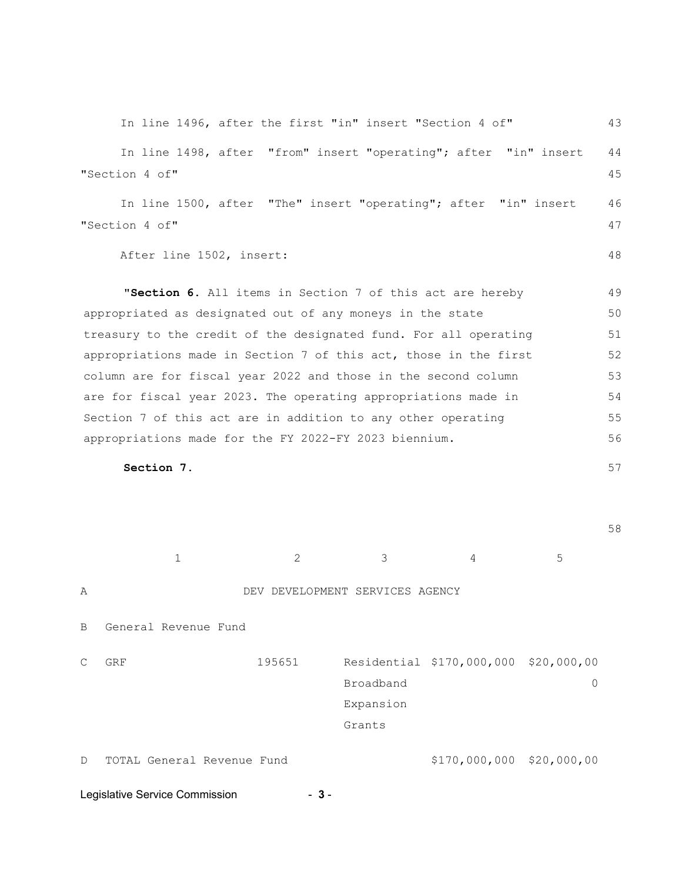|                                                                  | In line 1496, after the first "in" insert "Section 4 of"         |                                 |                           |             | 43 |
|------------------------------------------------------------------|------------------------------------------------------------------|---------------------------------|---------------------------|-------------|----|
|                                                                  | In line 1498, after "from" insert "operating"; after "in" insert |                                 |                           |             | 44 |
| "Section 4 of"                                                   |                                                                  |                                 |                           |             | 45 |
|                                                                  | In line 1500, after "The" insert "operating"; after "in" insert  |                                 |                           |             | 46 |
| "Section 4 of"                                                   |                                                                  |                                 |                           |             | 47 |
| After line 1502, insert:                                         |                                                                  |                                 |                           |             | 48 |
|                                                                  | "Section 6. All items in Section 7 of this act are hereby        |                                 |                           |             | 49 |
| appropriated as designated out of any moneys in the state        |                                                                  |                                 |                           |             |    |
| treasury to the credit of the designated fund. For all operating |                                                                  |                                 |                           |             |    |
| appropriations made in Section 7 of this act, those in the first |                                                                  |                                 |                           |             |    |
| column are for fiscal year 2022 and those in the second column   |                                                                  |                                 |                           |             |    |
| are for fiscal year 2023. The operating appropriations made in   |                                                                  |                                 |                           |             |    |
| Section 7 of this act are in addition to any other operating     |                                                                  |                                 |                           |             |    |
| appropriations made for the FY 2022-FY 2023 biennium.            |                                                                  |                                 |                           |             | 56 |
| Section 7.                                                       |                                                                  |                                 |                           |             | 57 |
|                                                                  |                                                                  |                                 |                           |             |    |
|                                                                  |                                                                  |                                 |                           |             | 58 |
| $\mathbf{1}$                                                     | 2                                                                | 3                               | 4                         | 5           |    |
| Α                                                                |                                                                  | DEV DEVELOPMENT SERVICES AGENCY |                           |             |    |
| В<br>General Revenue Fund                                        |                                                                  |                                 |                           |             |    |
| C<br>GRF                                                         | 195651                                                           |                                 | Residential \$170,000,000 | \$20,000,00 |    |
|                                                                  |                                                                  | Broadband                       |                           | 0           |    |
|                                                                  |                                                                  | Expansion                       |                           |             |    |
|                                                                  |                                                                  | Grants                          |                           |             |    |

D TOTAL General Revenue Fund  $$170,000,000 $20,000,00$ 

Legislative Service Commission **- 3** -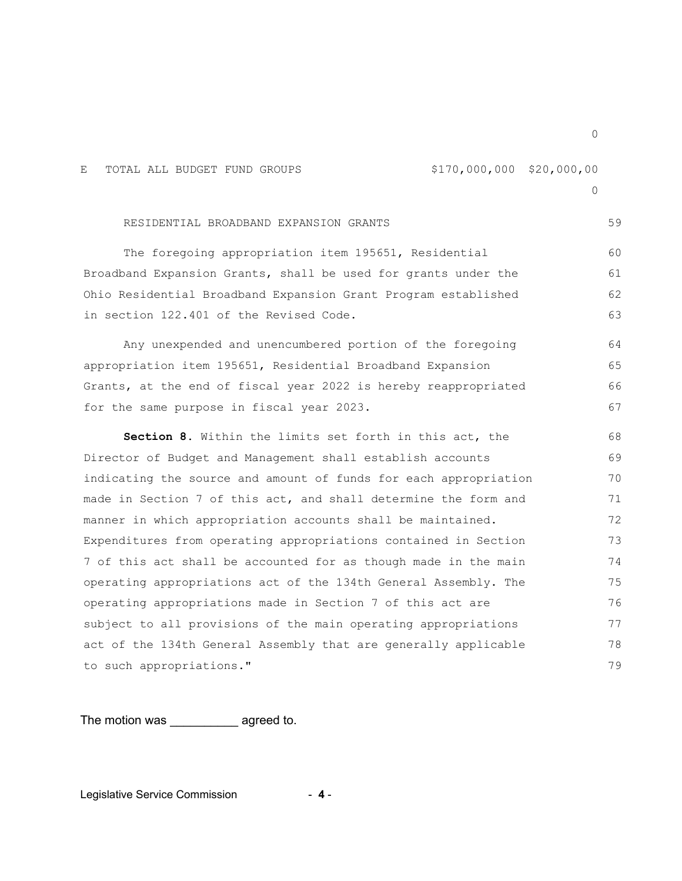E TOTAL ALL BUDGET FUND GROUPS  $$170,000,000 $20,000,00$  $\Omega$ RESIDENTIAL BROADBAND EXPANSION GRANTS The foregoing appropriation item 195651, Residential Broadband Expansion Grants, shall be used for grants under the Ohio Residential Broadband Expansion Grant Program established in section 122.401 of the Revised Code. Any unexpended and unencumbered portion of the foregoing appropriation item 195651, Residential Broadband Expansion Grants, at the end of fiscal year 2022 is hereby reappropriated for the same purpose in fiscal year 2023. **Section 8.** Within the limits set forth in this act, the Director of Budget and Management shall establish accounts indicating the source and amount of funds for each appropriation made in Section 7 of this act, and shall determine the form and manner in which appropriation accounts shall be maintained. Expenditures from operating appropriations contained in Section 7 of this act shall be accounted for as though made in the main operating appropriations act of the 134th General Assembly. The operating appropriations made in Section 7 of this act are subject to all provisions of the main operating appropriations act of the 134th General Assembly that are generally applicable to such appropriations." 59 60 61 62 63 64 65 66 67 68 69 70 71 72 73 74 75 76 77 78 79

The motion was \_\_\_\_\_\_\_\_\_\_ agreed to.

Legislative Service Commission - **4** -

 $\Omega$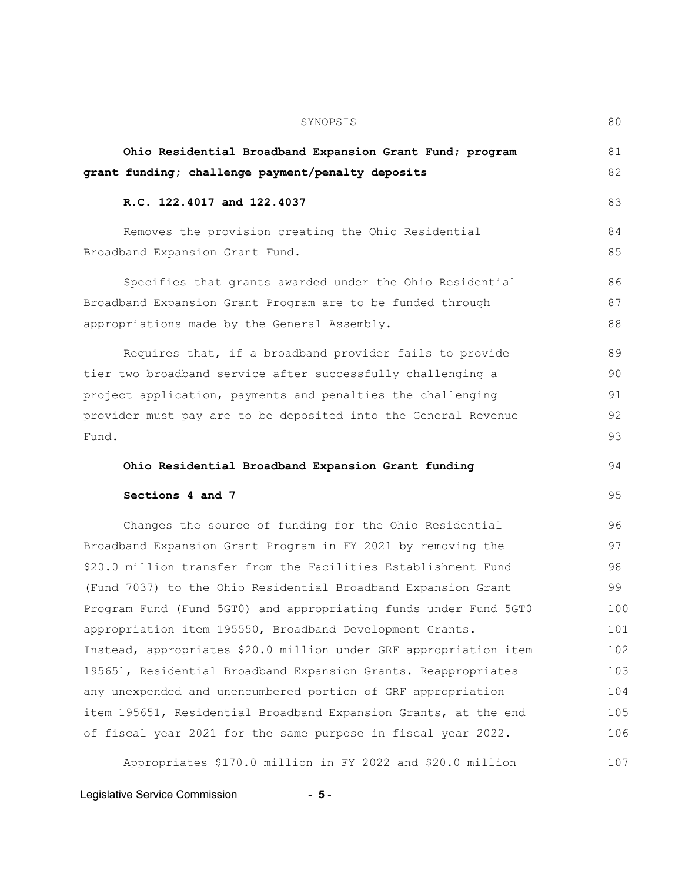| <b>SYNOPSIS</b>                                                   | 80  |
|-------------------------------------------------------------------|-----|
| Ohio Residential Broadband Expansion Grant Fund; program          | 81  |
| grant funding; challenge payment/penalty deposits                 | 82  |
| R.C. 122.4017 and 122.4037                                        | 83  |
| Removes the provision creating the Ohio Residential               | 84  |
| Broadband Expansion Grant Fund.                                   | 85  |
| Specifies that grants awarded under the Ohio Residential          | 86  |
| Broadband Expansion Grant Program are to be funded through        | 87  |
| appropriations made by the General Assembly.                      | 88  |
| Requires that, if a broadband provider fails to provide           | 89  |
| tier two broadband service after successfully challenging a       | 90  |
| project application, payments and penalties the challenging       | 91  |
| provider must pay are to be deposited into the General Revenue    | 92  |
| Fund.                                                             | 93  |
| Ohio Residential Broadband Expansion Grant funding                | 94  |
| Sections 4 and 7                                                  | 95  |
| Changes the source of funding for the Ohio Residential            | 96  |
| Broadband Expansion Grant Program in FY 2021 by removing the      | 97  |
| \$20.0 million transfer from the Facilities Establishment Fund    | 98  |
| (Fund 7037) to the Ohio Residential Broadband Expansion Grant     | 99  |
| Program Fund (Fund 5GT0) and appropriating funds under Fund 5GT0  | 100 |
| appropriation item 195550, Broadband Development Grants.          | 101 |
| Instead, appropriates \$20.0 million under GRF appropriation item | 102 |
| 195651, Residential Broadband Expansion Grants. Reappropriates    | 103 |
| any unexpended and unencumbered portion of GRF appropriation      | 104 |
| item 195651, Residential Broadband Expansion Grants, at the end   | 105 |
| of fiscal year 2021 for the same purpose in fiscal year 2022.     | 106 |
| Appropriates \$170.0 million in FY 2022 and \$20.0 million        | 107 |

Legislative Service Commission **- 5** -